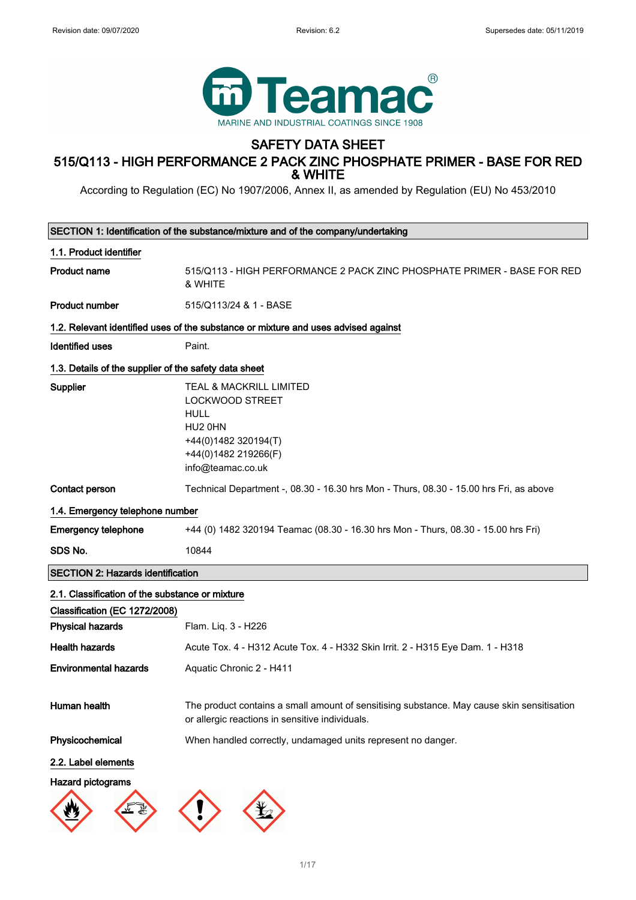

# SAFETY DATA SHEET

# 515/Q113 - HIGH PERFORMANCE 2 PACK ZINC PHOSPHATE PRIMER - BASE FOR RED & WHITE

According to Regulation (EC) No 1907/2006, Annex II, as amended by Regulation (EU) No 453/2010

| SECTION 1: Identification of the substance/mixture and of the company/undertaking |                                                                                                                                                             |  |
|-----------------------------------------------------------------------------------|-------------------------------------------------------------------------------------------------------------------------------------------------------------|--|
| 1.1. Product identifier                                                           |                                                                                                                                                             |  |
| <b>Product name</b>                                                               | 515/Q113 - HIGH PERFORMANCE 2 PACK ZINC PHOSPHATE PRIMER - BASE FOR RED<br>& WHITE                                                                          |  |
| <b>Product number</b>                                                             | 515/Q113/24 & 1 - BASE                                                                                                                                      |  |
|                                                                                   | 1.2. Relevant identified uses of the substance or mixture and uses advised against                                                                          |  |
| <b>Identified uses</b>                                                            | Paint.                                                                                                                                                      |  |
| 1.3. Details of the supplier of the safety data sheet                             |                                                                                                                                                             |  |
| Supplier                                                                          | <b>TEAL &amp; MACKRILL LIMITED</b><br><b>LOCKWOOD STREET</b><br><b>HULL</b><br>HU2 0HN<br>+44(0)1482 320194(T)<br>+44(0)1482 219266(F)<br>info@teamac.co.uk |  |
| <b>Contact person</b>                                                             | Technical Department -, 08.30 - 16.30 hrs Mon - Thurs, 08.30 - 15.00 hrs Fri, as above                                                                      |  |
| 1.4. Emergency telephone number                                                   |                                                                                                                                                             |  |
| <b>Emergency telephone</b>                                                        | +44 (0) 1482 320194 Teamac (08.30 - 16.30 hrs Mon - Thurs, 08.30 - 15.00 hrs Fri)                                                                           |  |
| SDS No.                                                                           | 10844                                                                                                                                                       |  |
| <b>SECTION 2: Hazards identification</b>                                          |                                                                                                                                                             |  |
| 2.1. Classification of the substance or mixture                                   |                                                                                                                                                             |  |
| Classification (EC 1272/2008)                                                     |                                                                                                                                                             |  |
| <b>Physical hazards</b>                                                           | Flam. Liq. 3 - H226                                                                                                                                         |  |
| <b>Health hazards</b>                                                             | Acute Tox. 4 - H312 Acute Tox. 4 - H332 Skin Irrit. 2 - H315 Eye Dam. 1 - H318                                                                              |  |
| <b>Environmental hazards</b>                                                      | Aquatic Chronic 2 - H411                                                                                                                                    |  |
| Human health                                                                      | The product contains a small amount of sensitising substance. May cause skin sensitisation<br>or allergic reactions in sensitive individuals.               |  |
| Physicochemical                                                                   | When handled correctly, undamaged units represent no danger.                                                                                                |  |
| 2.2. Label elements                                                               |                                                                                                                                                             |  |
| <b>Hazard pictograms</b>                                                          |                                                                                                                                                             |  |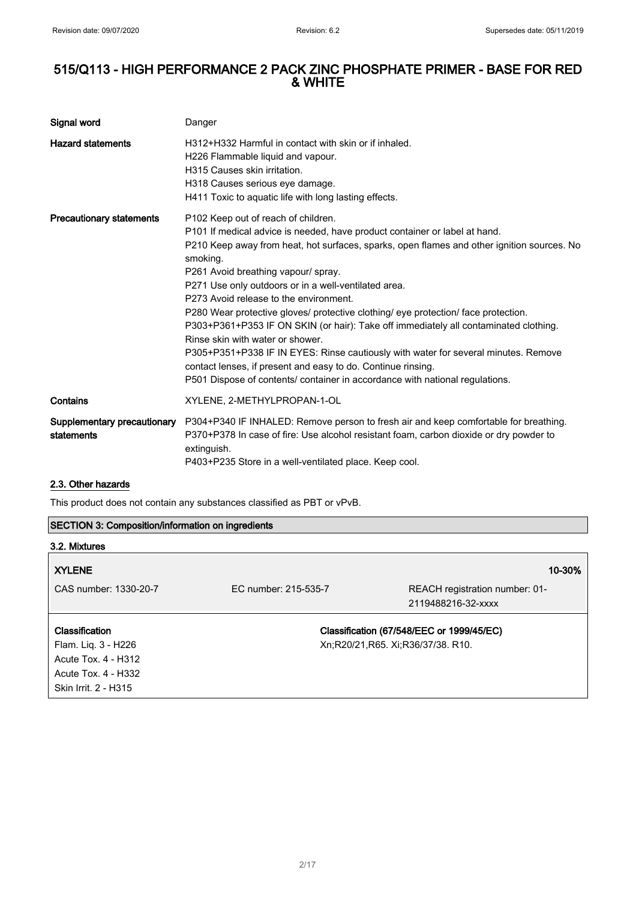| Signal word                               | Danger                                                                                                                                                                                                                                                                                                                                                                                                                                                                                                                                                                                                                                                                                                                                                                                                                       |
|-------------------------------------------|------------------------------------------------------------------------------------------------------------------------------------------------------------------------------------------------------------------------------------------------------------------------------------------------------------------------------------------------------------------------------------------------------------------------------------------------------------------------------------------------------------------------------------------------------------------------------------------------------------------------------------------------------------------------------------------------------------------------------------------------------------------------------------------------------------------------------|
| <b>Hazard statements</b>                  | H312+H332 Harmful in contact with skin or if inhaled.<br>H226 Flammable liquid and vapour.<br>H315 Causes skin irritation.<br>H318 Causes serious eye damage.<br>H411 Toxic to aquatic life with long lasting effects.                                                                                                                                                                                                                                                                                                                                                                                                                                                                                                                                                                                                       |
| <b>Precautionary statements</b>           | P102 Keep out of reach of children.<br>P101 If medical advice is needed, have product container or label at hand.<br>P210 Keep away from heat, hot surfaces, sparks, open flames and other ignition sources. No<br>smoking.<br>P261 Avoid breathing vapour/ spray.<br>P271 Use only outdoors or in a well-ventilated area.<br>P273 Avoid release to the environment.<br>P280 Wear protective gloves/ protective clothing/ eye protection/ face protection.<br>P303+P361+P353 IF ON SKIN (or hair): Take off immediately all contaminated clothing.<br>Rinse skin with water or shower.<br>P305+P351+P338 IF IN EYES: Rinse cautiously with water for several minutes. Remove<br>contact lenses, if present and easy to do. Continue rinsing.<br>P501 Dispose of contents/ container in accordance with national regulations. |
| Contains                                  | XYLENE, 2-METHYLPROPAN-1-OL                                                                                                                                                                                                                                                                                                                                                                                                                                                                                                                                                                                                                                                                                                                                                                                                  |
| Supplementary precautionary<br>statements | P304+P340 IF INHALED: Remove person to fresh air and keep comfortable for breathing.<br>P370+P378 In case of fire: Use alcohol resistant foam, carbon dioxide or dry powder to<br>extinguish.<br>P403+P235 Store in a well-ventilated place. Keep cool.                                                                                                                                                                                                                                                                                                                                                                                                                                                                                                                                                                      |

#### 2.3. Other hazards

This product does not contain any substances classified as PBT or vPvB.

#### SECTION 3: Composition/information on ingredients

| 3.2. Mixtures         |                      |                                           |
|-----------------------|----------------------|-------------------------------------------|
| <b>XYLENE</b>         |                      | 10-30%                                    |
| CAS number: 1330-20-7 | EC number: 215-535-7 | REACH registration number: 01-            |
|                       |                      | 2119488216-32-xxxx                        |
| Classification        |                      | Classification (67/548/EEC or 1999/45/EC) |
| Flam. Liq. 3 - H226   |                      | Xn;R20/21,R65. Xi;R36/37/38. R10.         |
| Acute Tox. 4 - H312   |                      |                                           |
| Acute Tox. 4 - H332   |                      |                                           |
| Skin Irrit. 2 - H315  |                      |                                           |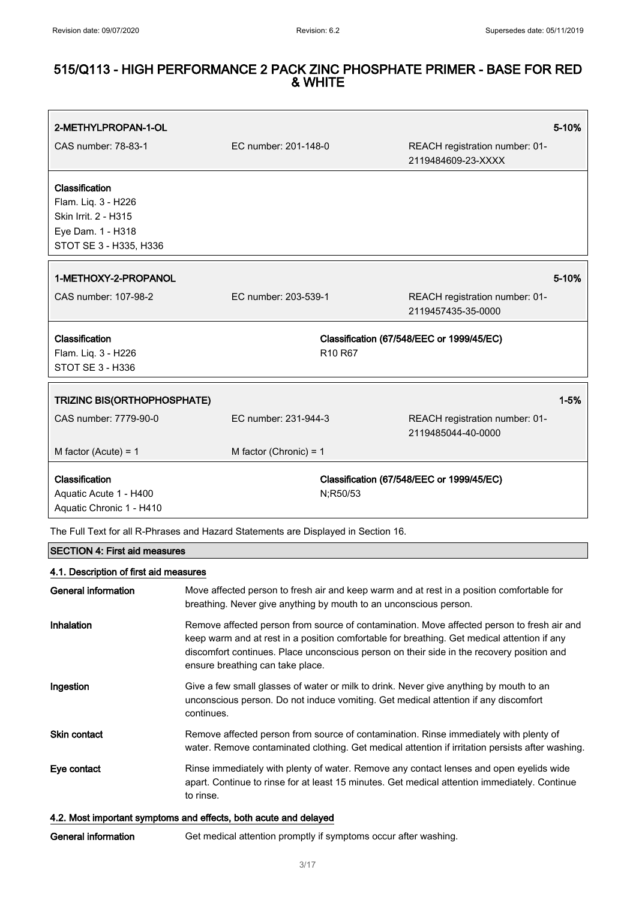| 2-METHYLPROPAN-1-OL                                                                                          |                                 |                                                      | 5-10%    |
|--------------------------------------------------------------------------------------------------------------|---------------------------------|------------------------------------------------------|----------|
| CAS number: 78-83-1                                                                                          | EC number: 201-148-0            | REACH registration number: 01-<br>2119484609-23-XXXX |          |
| Classification<br>Flam. Liq. 3 - H226<br>Skin Irrit. 2 - H315<br>Eye Dam. 1 - H318<br>STOT SE 3 - H335, H336 |                                 |                                                      |          |
| 1-METHOXY-2-PROPANOL                                                                                         |                                 |                                                      | 5-10%    |
| CAS number: 107-98-2                                                                                         | EC number: 203-539-1            | REACH registration number: 01-<br>2119457435-35-0000 |          |
| Classification<br>Flam. Liq. 3 - H226<br>STOT SE 3 - H336                                                    | R <sub>10</sub> R <sub>67</sub> | Classification (67/548/EEC or 1999/45/EC)            |          |
| <b>TRIZINC BIS(ORTHOPHOSPHATE)</b>                                                                           |                                 |                                                      | $1 - 5%$ |
| CAS number: 7779-90-0                                                                                        | EC number: 231-944-3            | REACH registration number: 01-<br>2119485044-40-0000 |          |
| M factor (Acute) = $1$                                                                                       | M factor (Chronic) = $1$        |                                                      |          |
| Classification<br>Aquatic Acute 1 - H400<br>Aquatic Chronic 1 - H410                                         | N;R50/53                        | Classification (67/548/EEC or 1999/45/EC)            |          |

The Full Text for all R-Phrases and Hazard Statements are Displayed in Section 16.

# SECTION 4: First aid measures

| 4.1. Description of first aid measures |                                                                                                                                                                                                                                                                                                                            |  |
|----------------------------------------|----------------------------------------------------------------------------------------------------------------------------------------------------------------------------------------------------------------------------------------------------------------------------------------------------------------------------|--|
| General information                    | Move affected person to fresh air and keep warm and at rest in a position comfortable for<br>breathing. Never give anything by mouth to an unconscious person.                                                                                                                                                             |  |
| Inhalation                             | Remove affected person from source of contamination. Move affected person to fresh air and<br>keep warm and at rest in a position comfortable for breathing. Get medical attention if any<br>discomfort continues. Place unconscious person on their side in the recovery position and<br>ensure breathing can take place. |  |
| Ingestion                              | Give a few small glasses of water or milk to drink. Never give anything by mouth to an<br>unconscious person. Do not induce vomiting. Get medical attention if any discomfort<br>continues.                                                                                                                                |  |
| Skin contact                           | Remove affected person from source of contamination. Rinse immediately with plenty of<br>water. Remove contaminated clothing. Get medical attention if irritation persists after washing.                                                                                                                                  |  |
| Eye contact                            | Rinse immediately with plenty of water. Remove any contact lenses and open eyelids wide<br>apart. Continue to rinse for at least 15 minutes. Get medical attention immediately. Continue<br>to rinse.                                                                                                                      |  |

### 4.2. Most important symptoms and effects, both acute and delayed

General information Get medical attention promptly if symptoms occur after washing.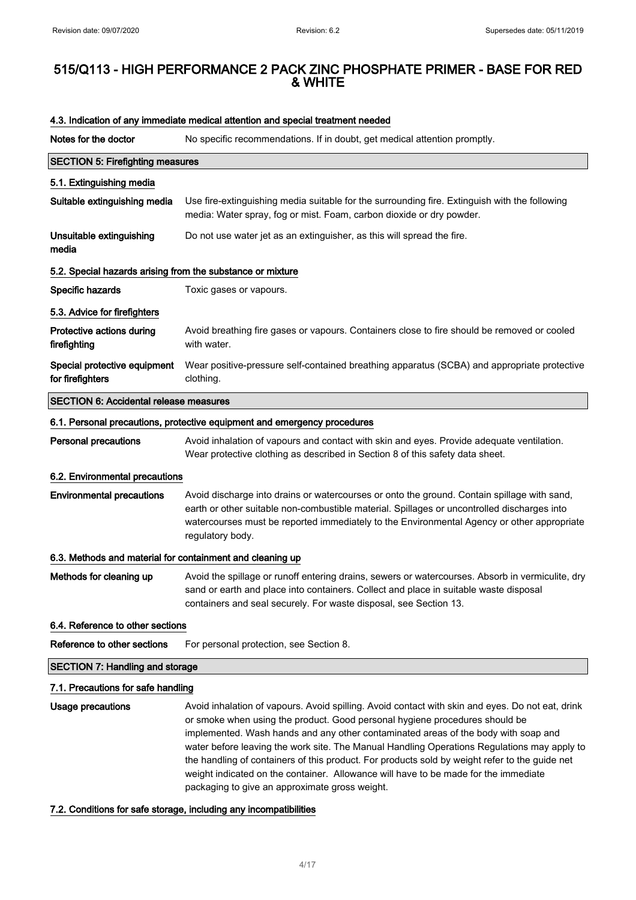| Notes for the doctor                                       | No specific recommendations. If in doubt, get medical attention promptly.                                                                                                                                                                                                                                                                                                                                                                                                                                                                                                                                       |  |
|------------------------------------------------------------|-----------------------------------------------------------------------------------------------------------------------------------------------------------------------------------------------------------------------------------------------------------------------------------------------------------------------------------------------------------------------------------------------------------------------------------------------------------------------------------------------------------------------------------------------------------------------------------------------------------------|--|
| <b>SECTION 5: Firefighting measures</b>                    |                                                                                                                                                                                                                                                                                                                                                                                                                                                                                                                                                                                                                 |  |
| 5.1. Extinguishing media                                   |                                                                                                                                                                                                                                                                                                                                                                                                                                                                                                                                                                                                                 |  |
| Suitable extinguishing media                               | Use fire-extinguishing media suitable for the surrounding fire. Extinguish with the following<br>media: Water spray, fog or mist. Foam, carbon dioxide or dry powder.                                                                                                                                                                                                                                                                                                                                                                                                                                           |  |
| Unsuitable extinguishing<br>media                          | Do not use water jet as an extinguisher, as this will spread the fire.                                                                                                                                                                                                                                                                                                                                                                                                                                                                                                                                          |  |
| 5.2. Special hazards arising from the substance or mixture |                                                                                                                                                                                                                                                                                                                                                                                                                                                                                                                                                                                                                 |  |
| Specific hazards                                           | Toxic gases or vapours.                                                                                                                                                                                                                                                                                                                                                                                                                                                                                                                                                                                         |  |
| 5.3. Advice for firefighters                               |                                                                                                                                                                                                                                                                                                                                                                                                                                                                                                                                                                                                                 |  |
| Protective actions during<br>firefighting                  | Avoid breathing fire gases or vapours. Containers close to fire should be removed or cooled<br>with water.                                                                                                                                                                                                                                                                                                                                                                                                                                                                                                      |  |
| Special protective equipment<br>for firefighters           | Wear positive-pressure self-contained breathing apparatus (SCBA) and appropriate protective<br>clothing.                                                                                                                                                                                                                                                                                                                                                                                                                                                                                                        |  |
| <b>SECTION 6: Accidental release measures</b>              |                                                                                                                                                                                                                                                                                                                                                                                                                                                                                                                                                                                                                 |  |
|                                                            | 6.1. Personal precautions, protective equipment and emergency procedures                                                                                                                                                                                                                                                                                                                                                                                                                                                                                                                                        |  |
| <b>Personal precautions</b>                                | Avoid inhalation of vapours and contact with skin and eyes. Provide adequate ventilation.<br>Wear protective clothing as described in Section 8 of this safety data sheet.                                                                                                                                                                                                                                                                                                                                                                                                                                      |  |
| 6.2. Environmental precautions                             |                                                                                                                                                                                                                                                                                                                                                                                                                                                                                                                                                                                                                 |  |
| <b>Environmental precautions</b>                           | Avoid discharge into drains or watercourses or onto the ground. Contain spillage with sand,<br>earth or other suitable non-combustible material. Spillages or uncontrolled discharges into<br>watercourses must be reported immediately to the Environmental Agency or other appropriate<br>regulatory body.                                                                                                                                                                                                                                                                                                    |  |
| 6.3. Methods and material for containment and cleaning up  |                                                                                                                                                                                                                                                                                                                                                                                                                                                                                                                                                                                                                 |  |
| Methods for cleaning up                                    | Avoid the spillage or runoff entering drains, sewers or watercourses. Absorb in vermiculite, dry<br>sand or earth and place into containers. Collect and place in suitable waste disposal<br>containers and seal securely. For waste disposal, see Section 13.                                                                                                                                                                                                                                                                                                                                                  |  |
| 6.4. Reference to other sections                           |                                                                                                                                                                                                                                                                                                                                                                                                                                                                                                                                                                                                                 |  |
| Reference to other sections                                | For personal protection, see Section 8.                                                                                                                                                                                                                                                                                                                                                                                                                                                                                                                                                                         |  |
| <b>SECTION 7: Handling and storage</b>                     |                                                                                                                                                                                                                                                                                                                                                                                                                                                                                                                                                                                                                 |  |
| 7.1. Precautions for safe handling                         |                                                                                                                                                                                                                                                                                                                                                                                                                                                                                                                                                                                                                 |  |
| <b>Usage precautions</b>                                   | Avoid inhalation of vapours. Avoid spilling. Avoid contact with skin and eyes. Do not eat, drink<br>or smoke when using the product. Good personal hygiene procedures should be<br>implemented. Wash hands and any other contaminated areas of the body with soap and<br>water before leaving the work site. The Manual Handling Operations Regulations may apply to<br>the handling of containers of this product. For products sold by weight refer to the guide net<br>weight indicated on the container. Allowance will have to be made for the immediate<br>packaging to give an approximate gross weight. |  |

#### 4.3. Indication of any immediate medical attention and special treatment needed

7.2. Conditions for safe storage, including any incompatibilities

4/ 17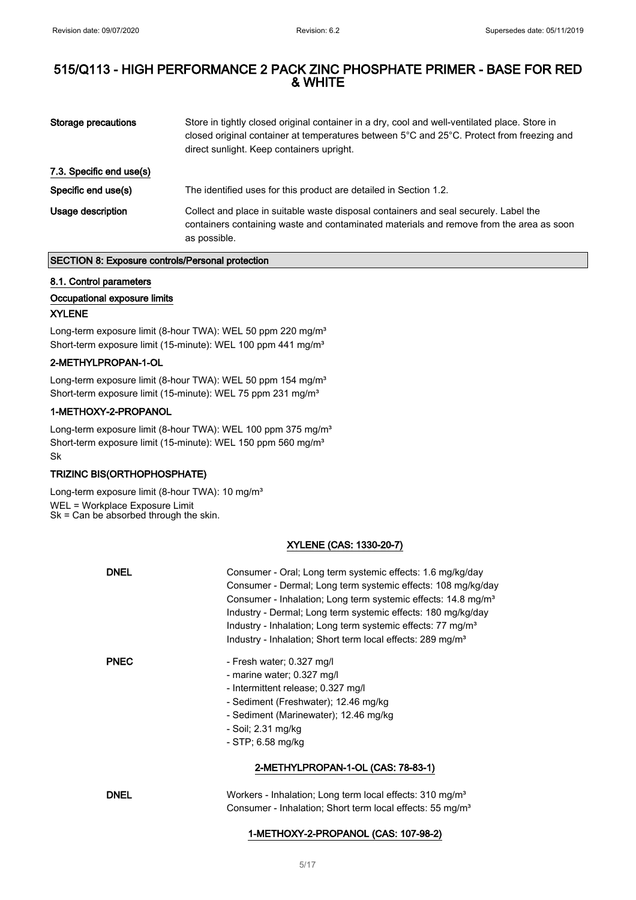| Storage precautions      | Store in tightly closed original container in a dry, cool and well-ventilated place. Store in<br>closed original container at temperatures between 5°C and 25°C. Protect from freezing and<br>direct sunlight. Keep containers upright. |
|--------------------------|-----------------------------------------------------------------------------------------------------------------------------------------------------------------------------------------------------------------------------------------|
| 7.3. Specific end use(s) |                                                                                                                                                                                                                                         |
| Specific end use(s)      | The identified uses for this product are detailed in Section 1.2.                                                                                                                                                                       |
| Usage description        | Collect and place in suitable waste disposal containers and seal securely. Label the<br>containers containing waste and contaminated materials and remove from the area as soon<br>as possible.                                         |

#### SECTION 8: Exposure controls/Personal protection

#### 8.1. Control parameters

#### Occupational exposure limits

#### XYLENE

Long-term exposure limit (8-hour TWA): WEL 50 ppm 220 mg/m<sup>3</sup> Short-term exposure limit (15-minute): WEL 100 ppm 441 mg/m<sup>3</sup>

#### 2-METHYLPROPAN-1-OL

Long-term exposure limit (8-hour TWA): WEL 50 ppm 154 mg/m<sup>3</sup> Short-term exposure limit (15-minute): WEL 75 ppm 231 mg/m<sup>3</sup>

#### 1-METHOXY-2-PROPANOL

Long-term exposure limit (8-hour TWA): WEL 100 ppm 375 mg/m<sup>3</sup> Short-term exposure limit (15-minute): WEL 150 ppm 560 mg/m<sup>3</sup> Sk

#### TRIZINC BIS(ORTHOPHOSPHATE)

Long-term exposure limit (8-hour TWA): 10 mg/m<sup>3</sup> WEL = Workplace Exposure Limit Sk = Can be absorbed through the skin.

#### XYLENE (CAS: 1330-20-7)

| <b>DNEL</b> | Consumer - Oral; Long term systemic effects: 1.6 mg/kg/day<br>Consumer - Dermal; Long term systemic effects: 108 mg/kg/day<br>Consumer - Inhalation; Long term systemic effects: 14.8 mg/m <sup>3</sup><br>Industry - Dermal; Long term systemic effects: 180 mg/kg/day<br>Industry - Inhalation; Long term systemic effects: 77 mg/m <sup>3</sup><br>Industry - Inhalation; Short term local effects: 289 mg/m <sup>3</sup> |
|-------------|------------------------------------------------------------------------------------------------------------------------------------------------------------------------------------------------------------------------------------------------------------------------------------------------------------------------------------------------------------------------------------------------------------------------------|
| <b>PNEC</b> | - Fresh water; 0.327 mg/l<br>- marine water; 0.327 mg/l<br>- Intermittent release; 0.327 mg/l<br>- Sediment (Freshwater); 12.46 mg/kg<br>- Sediment (Marinewater); 12.46 mg/kg<br>- Soil; 2.31 mg/kg<br>$-$ STP; 6.58 mg/kg                                                                                                                                                                                                  |
|             | 2-METHYLPROPAN-1-OL (CAS: 78-83-1)                                                                                                                                                                                                                                                                                                                                                                                           |
| <b>DNEL</b> | Workers - Inhalation; Long term local effects: 310 mg/m <sup>3</sup><br>Consumer - Inhalation; Short term local effects: 55 mg/m <sup>3</sup>                                                                                                                                                                                                                                                                                |

#### 1-METHOXY-2-PROPANOL (CAS: 107-98-2)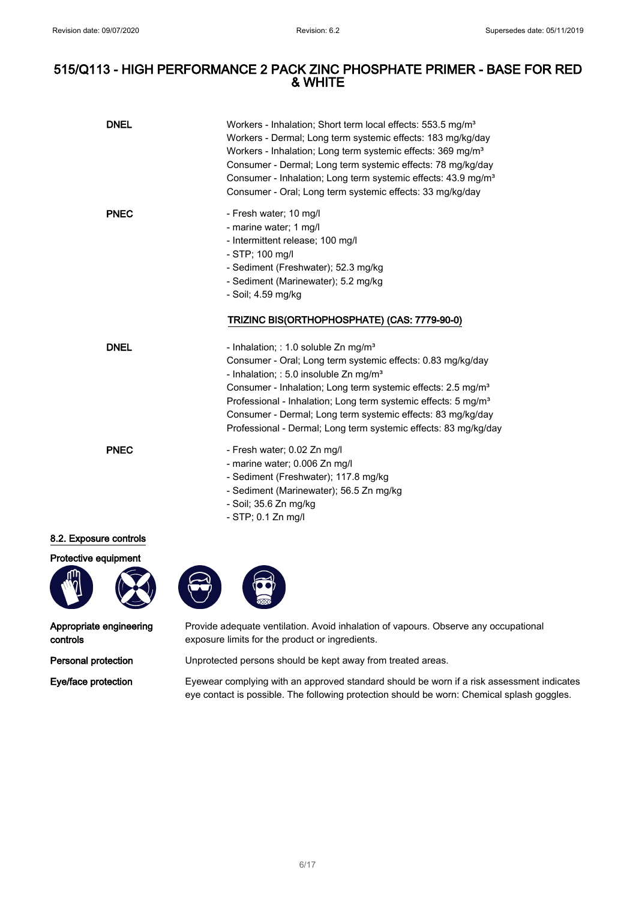| <b>DNEL</b>   | Workers - Inhalation; Short term local effects: 553.5 mg/m <sup>3</sup><br>Workers - Dermal; Long term systemic effects: 183 mg/kg/day<br>Workers - Inhalation; Long term systemic effects: 369 mg/m <sup>3</sup><br>Consumer - Dermal; Long term systemic effects: 78 mg/kg/day<br>Consumer - Inhalation; Long term systemic effects: 43.9 mg/m <sup>3</sup><br>Consumer - Oral; Long term systemic effects: 33 mg/kg/day                                            |
|---------------|-----------------------------------------------------------------------------------------------------------------------------------------------------------------------------------------------------------------------------------------------------------------------------------------------------------------------------------------------------------------------------------------------------------------------------------------------------------------------|
| <b>PNEC</b>   | - Fresh water; 10 mg/l<br>- marine water; 1 mg/l<br>- Intermittent release; 100 mg/l<br>- STP; 100 mg/l<br>- Sediment (Freshwater); 52.3 mg/kg<br>- Sediment (Marinewater); 5.2 mg/kg<br>- Soil; 4.59 mg/kg                                                                                                                                                                                                                                                           |
|               | TRIZINC BIS(ORTHOPHOSPHATE) (CAS: 7779-90-0)                                                                                                                                                                                                                                                                                                                                                                                                                          |
| <b>DNEL</b>   | - Inhalation; : 1.0 soluble $Zn$ mg/m <sup>3</sup><br>Consumer - Oral; Long term systemic effects: 0.83 mg/kg/day<br>- Inhalation; : 5.0 insoluble $Zn$ mg/m <sup>3</sup><br>Consumer - Inhalation; Long term systemic effects: 2.5 mg/m <sup>3</sup><br>Professional - Inhalation; Long term systemic effects: 5 mg/m <sup>3</sup><br>Consumer - Dermal; Long term systemic effects: 83 mg/kg/day<br>Professional - Dermal; Long term systemic effects: 83 mg/kg/day |
| <b>PNEC</b>   | - Fresh water; 0.02 Zn mg/l<br>- marine water; 0.006 Zn mg/l<br>- Sediment (Freshwater); 117.8 mg/kg<br>- Sediment (Marinewater); 56.5 Zn mg/kg<br>- Soil; 35.6 Zn mg/kg<br>- STP; 0.1 Zn mg/l                                                                                                                                                                                                                                                                        |
| sure controls |                                                                                                                                                                                                                                                                                                                                                                                                                                                                       |
| equipment     |                                                                                                                                                                                                                                                                                                                                                                                                                                                                       |

#### 8.2. Expos



Appropriate engineering controls

Provide adequate ventilation. Avoid inhalation of vapours. Observe any occupational exposure limits for the product or ingredients.

Personal protection Unprotected persons should be kept away from treated areas.

Eye/face protection Eyewear complying with an approved standard should be worn if a risk assessment indicates eye contact is possible. The following protection should be worn: Chemical splash goggles.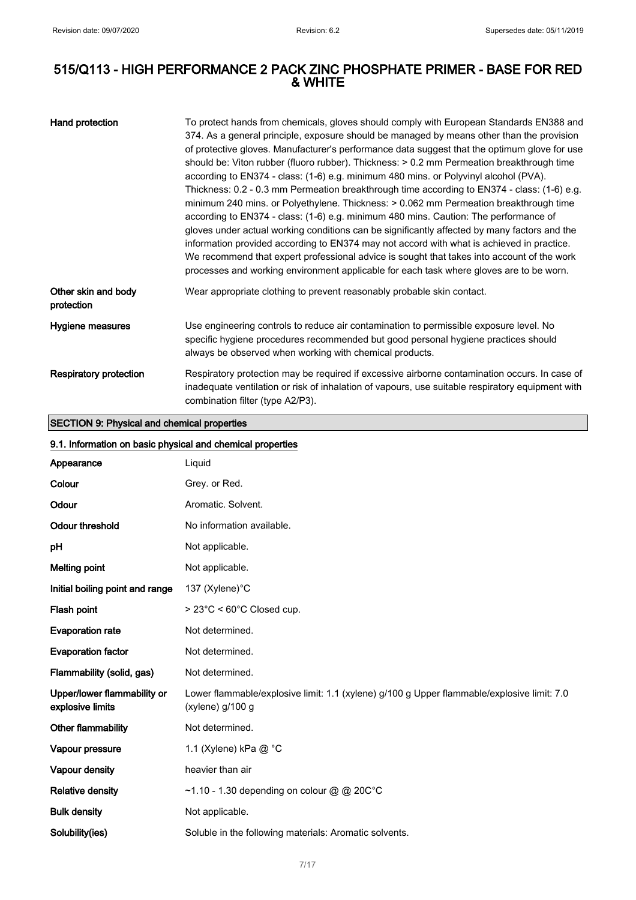| Hand protection                   | To protect hands from chemicals, gloves should comply with European Standards EN388 and<br>374. As a general principle, exposure should be managed by means other than the provision<br>of protective gloves. Manufacturer's performance data suggest that the optimum glove for use<br>should be: Viton rubber (fluoro rubber). Thickness: > 0.2 mm Permeation breakthrough time<br>according to EN374 - class: (1-6) e.g. minimum 480 mins. or Polyvinyl alcohol (PVA).<br>Thickness: 0.2 - 0.3 mm Permeation breakthrough time according to EN374 - class: (1-6) e.g.<br>minimum 240 mins. or Polyethylene. Thickness: > 0.062 mm Permeation breakthrough time<br>according to EN374 - class: (1-6) e.g. minimum 480 mins. Caution: The performance of<br>gloves under actual working conditions can be significantly affected by many factors and the<br>information provided according to EN374 may not accord with what is achieved in practice.<br>We recommend that expert professional advice is sought that takes into account of the work<br>processes and working environment applicable for each task where gloves are to be worn. |
|-----------------------------------|-------------------------------------------------------------------------------------------------------------------------------------------------------------------------------------------------------------------------------------------------------------------------------------------------------------------------------------------------------------------------------------------------------------------------------------------------------------------------------------------------------------------------------------------------------------------------------------------------------------------------------------------------------------------------------------------------------------------------------------------------------------------------------------------------------------------------------------------------------------------------------------------------------------------------------------------------------------------------------------------------------------------------------------------------------------------------------------------------------------------------------------------------|
| Other skin and body<br>protection | Wear appropriate clothing to prevent reasonably probable skin contact.                                                                                                                                                                                                                                                                                                                                                                                                                                                                                                                                                                                                                                                                                                                                                                                                                                                                                                                                                                                                                                                                          |
| Hygiene measures                  | Use engineering controls to reduce air contamination to permissible exposure level. No<br>specific hygiene procedures recommended but good personal hygiene practices should<br>always be observed when working with chemical products.                                                                                                                                                                                                                                                                                                                                                                                                                                                                                                                                                                                                                                                                                                                                                                                                                                                                                                         |
| <b>Respiratory protection</b>     | Respiratory protection may be required if excessive airborne contamination occurs. In case of<br>inadequate ventilation or risk of inhalation of vapours, use suitable respiratory equipment with<br>combination filter (type A2/P3).                                                                                                                                                                                                                                                                                                                                                                                                                                                                                                                                                                                                                                                                                                                                                                                                                                                                                                           |

SECTION 9: Physical and chemical properties

# 9.1. Information on basic physical and chemical properties

| 9. 1. Illiolitialion on basic privsical and chemical properties |                                                                                                                |  |
|-----------------------------------------------------------------|----------------------------------------------------------------------------------------------------------------|--|
| Appearance                                                      | Liquid                                                                                                         |  |
| Colour                                                          | Grey. or Red.                                                                                                  |  |
| Odour                                                           | Aromatic. Solvent.                                                                                             |  |
| Odour threshold                                                 | No information available.                                                                                      |  |
| рH                                                              | Not applicable.                                                                                                |  |
| <b>Melting point</b>                                            | Not applicable.                                                                                                |  |
| Initial boiling point and range                                 | 137 (Xylene)°C                                                                                                 |  |
| Flash point                                                     | $> 23^{\circ}$ C < 60 $^{\circ}$ C Closed cup.                                                                 |  |
| <b>Evaporation rate</b>                                         | Not determined.                                                                                                |  |
| <b>Evaporation factor</b>                                       | Not determined.                                                                                                |  |
| Flammability (solid, gas)                                       | Not determined.                                                                                                |  |
| Upper/lower flammability or<br>explosive limits                 | Lower flammable/explosive limit: 1.1 (xylene) g/100 g Upper flammable/explosive limit: 7.0<br>(xylene) g/100 g |  |
| Other flammability                                              | Not determined.                                                                                                |  |
| Vapour pressure                                                 | 1.1 (Xylene) kPa @ °C                                                                                          |  |
| Vapour density                                                  | heavier than air                                                                                               |  |
| <b>Relative density</b>                                         | ~1.10 - 1.30 depending on colour @ @ 20C°C                                                                     |  |
| <b>Bulk density</b>                                             | Not applicable.                                                                                                |  |
| Solubility(ies)                                                 | Soluble in the following materials: Aromatic solvents.                                                         |  |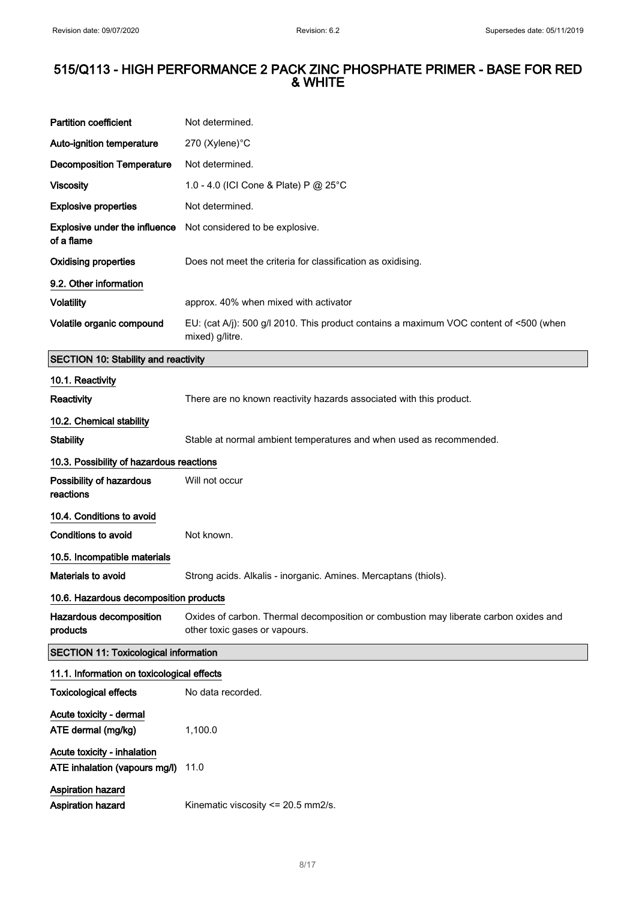$\hat{\mathcal{A}}$ 

# 515/Q113 - HIGH PERFORMANCE 2 PACK ZINC PHOSPHATE PRIMER - BASE FOR RED & WHITE

| <b>Partition coefficient</b>                                 | Not determined.                                                                                                       |  |
|--------------------------------------------------------------|-----------------------------------------------------------------------------------------------------------------------|--|
| Auto-ignition temperature                                    | 270 (Xylene)°C                                                                                                        |  |
| <b>Decomposition Temperature</b>                             | Not determined.                                                                                                       |  |
| <b>Viscosity</b>                                             | 1.0 - 4.0 (ICI Cone & Plate) P @ 25°C                                                                                 |  |
| <b>Explosive properties</b>                                  | Not determined.                                                                                                       |  |
| Explosive under the influence<br>of a flame                  | Not considered to be explosive.                                                                                       |  |
| <b>Oxidising properties</b>                                  | Does not meet the criteria for classification as oxidising.                                                           |  |
| 9.2. Other information                                       |                                                                                                                       |  |
| <b>Volatility</b>                                            | approx. 40% when mixed with activator                                                                                 |  |
| Volatile organic compound                                    | EU: (cat A/j): 500 g/l 2010. This product contains a maximum VOC content of <500 (when<br>mixed) g/litre.             |  |
| <b>SECTION 10: Stability and reactivity</b>                  |                                                                                                                       |  |
| 10.1. Reactivity                                             |                                                                                                                       |  |
| <b>Reactivity</b>                                            | There are no known reactivity hazards associated with this product.                                                   |  |
| 10.2. Chemical stability                                     |                                                                                                                       |  |
| <b>Stability</b>                                             | Stable at normal ambient temperatures and when used as recommended.                                                   |  |
| 10.3. Possibility of hazardous reactions                     |                                                                                                                       |  |
| Possibility of hazardous<br>reactions                        | Will not occur                                                                                                        |  |
| 10.4. Conditions to avoid                                    |                                                                                                                       |  |
| Conditions to avoid                                          | Not known.                                                                                                            |  |
| 10.5. Incompatible materials                                 |                                                                                                                       |  |
| Materials to avoid                                           | Strong acids. Alkalis - inorganic. Amines. Mercaptans (thiols).                                                       |  |
| 10.6. Hazardous decomposition products                       |                                                                                                                       |  |
| Hazardous decomposition<br>products                          | Oxides of carbon. Thermal decomposition or combustion may liberate carbon oxides and<br>other toxic gases or vapours. |  |
| <b>SECTION 11: Toxicological information</b>                 |                                                                                                                       |  |
| 11.1. Information on toxicological effects                   |                                                                                                                       |  |
| <b>Toxicological effects</b>                                 | No data recorded.                                                                                                     |  |
| Acute toxicity - dermal<br>ATE dermal (mg/kg)                | 1,100.0                                                                                                               |  |
| Acute toxicity - inhalation<br>ATE inhalation (vapours mg/l) | 11.0                                                                                                                  |  |
| Aspiration hazard<br>Aspiration hazard                       | Kinematic viscosity <= 20.5 mm2/s.                                                                                    |  |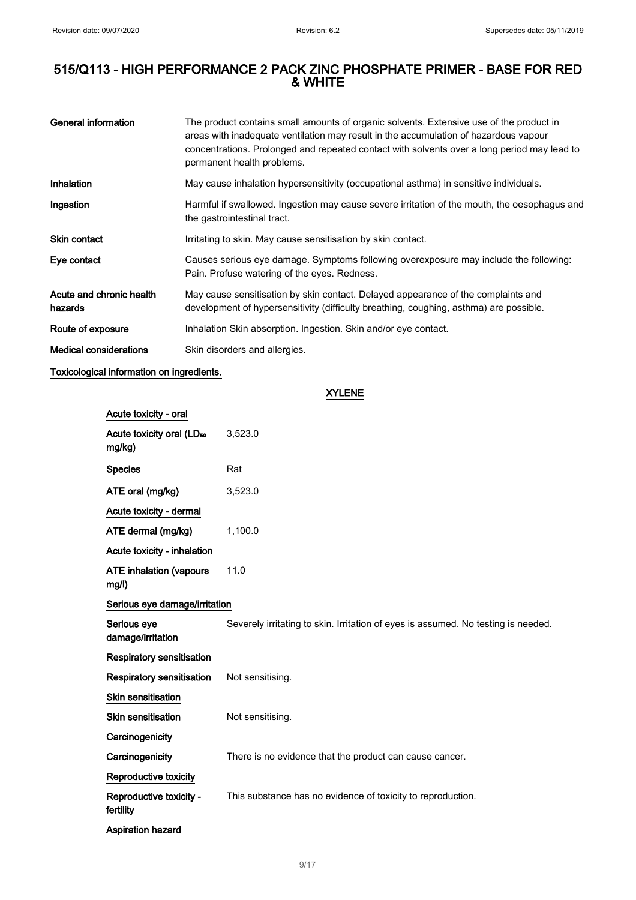| General information                 | The product contains small amounts of organic solvents. Extensive use of the product in<br>areas with inadequate ventilation may result in the accumulation of hazardous vapour<br>concentrations. Prolonged and repeated contact with solvents over a long period may lead to<br>permanent health problems. |
|-------------------------------------|--------------------------------------------------------------------------------------------------------------------------------------------------------------------------------------------------------------------------------------------------------------------------------------------------------------|
| Inhalation                          | May cause inhalation hypersensitivity (occupational asthma) in sensitive individuals.                                                                                                                                                                                                                        |
| Ingestion                           | Harmful if swallowed. Ingestion may cause severe irritation of the mouth, the oesophagus and<br>the gastrointestinal tract.                                                                                                                                                                                  |
| <b>Skin contact</b>                 | Irritating to skin. May cause sensitisation by skin contact.                                                                                                                                                                                                                                                 |
| Eye contact                         | Causes serious eye damage. Symptoms following overexposure may include the following:<br>Pain. Profuse watering of the eyes. Redness.                                                                                                                                                                        |
| Acute and chronic health<br>hazards | May cause sensitisation by skin contact. Delayed appearance of the complaints and<br>development of hypersensitivity (difficulty breathing, coughing, asthma) are possible.                                                                                                                                  |
| Route of exposure                   | Inhalation Skin absorption. Ingestion. Skin and/or eye contact.                                                                                                                                                                                                                                              |
| <b>Medical considerations</b>       | Skin disorders and allergies.                                                                                                                                                                                                                                                                                |

### Toxicological information on ingredients.

XYLENE

| Acute toxicity - oral                           |                                                                                   |  |
|-------------------------------------------------|-----------------------------------------------------------------------------------|--|
| Acute toxicity oral (LD <sub>50</sub><br>mg/kg) | 3,523.0                                                                           |  |
| <b>Species</b>                                  | Rat                                                                               |  |
| ATE oral (mg/kg)                                | 3,523.0                                                                           |  |
| Acute toxicity - dermal                         |                                                                                   |  |
| ATE dermal (mg/kg)                              | 1,100.0                                                                           |  |
| Acute toxicity - inhalation                     |                                                                                   |  |
| <b>ATE inhalation (vapours</b><br>mg/l)         | 11.0                                                                              |  |
| Serious eye damage/irritation                   |                                                                                   |  |
| Serious eye<br>damage/irritation                | Severely irritating to skin. Irritation of eyes is assumed. No testing is needed. |  |
| <b>Respiratory sensitisation</b>                |                                                                                   |  |
| <b>Respiratory sensitisation</b>                | Not sensitising.                                                                  |  |
| Skin sensitisation                              |                                                                                   |  |
| Skin sensitisation                              | Not sensitising.                                                                  |  |
| Carcinogenicity                                 |                                                                                   |  |
| Carcinogenicity                                 | There is no evidence that the product can cause cancer.                           |  |
| Reproductive toxicity                           |                                                                                   |  |
| Reproductive toxicity -<br>fertility            | This substance has no evidence of toxicity to reproduction.                       |  |
| Aspiration hazard                               |                                                                                   |  |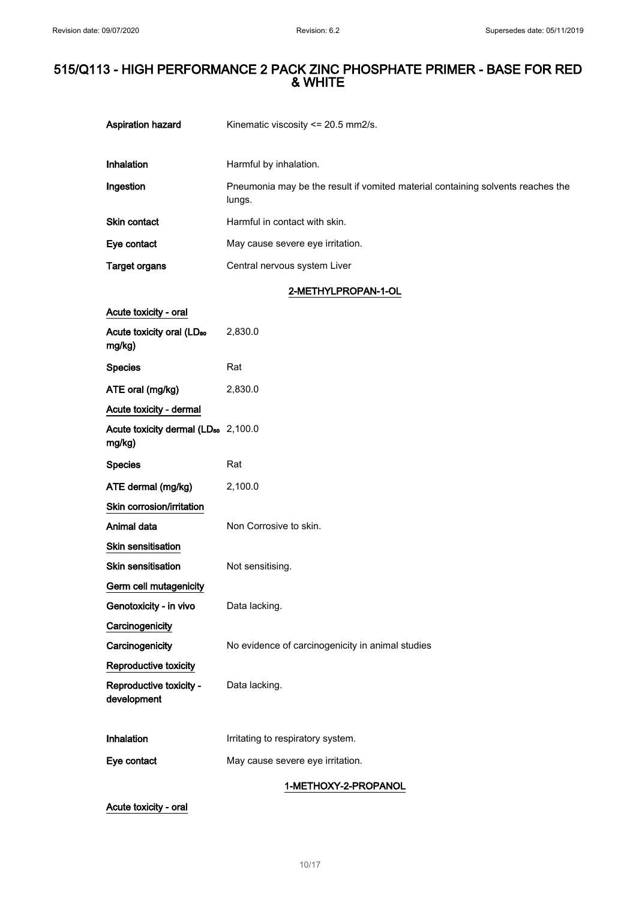| Aspiration hazard                                         | Kinematic viscosity <= 20.5 mm2/s.                                                        |
|-----------------------------------------------------------|-------------------------------------------------------------------------------------------|
|                                                           |                                                                                           |
| Inhalation                                                | Harmful by inhalation.                                                                    |
| Ingestion                                                 | Pneumonia may be the result if vomited material containing solvents reaches the<br>lungs. |
| Skin contact                                              | Harmful in contact with skin.                                                             |
| Eye contact                                               | May cause severe eye irritation.                                                          |
| <b>Target organs</b>                                      | Central nervous system Liver                                                              |
|                                                           | 2-METHYLPROPAN-1-OL                                                                       |
| Acute toxicity - oral                                     |                                                                                           |
| Acute toxicity oral (LD <sub>50</sub><br>mg/kg)           | 2,830.0                                                                                   |
| <b>Species</b>                                            | Rat                                                                                       |
| ATE oral (mg/kg)                                          | 2,830.0                                                                                   |
| Acute toxicity - dermal                                   |                                                                                           |
| Acute toxicity dermal (LD <sub>50</sub> 2,100.0<br>mg/kg) |                                                                                           |
| <b>Species</b>                                            | Rat                                                                                       |
| ATE dermal (mg/kg)                                        | 2,100.0                                                                                   |
| Skin corrosion/irritation                                 |                                                                                           |
| Animal data                                               | Non Corrosive to skin.                                                                    |
| Skin sensitisation                                        |                                                                                           |
| <b>Skin sensitisation</b>                                 | Not sensitising.                                                                          |
|                                                           |                                                                                           |
| Germ cell mutagenicity                                    |                                                                                           |
| Genotoxicity - in vivo                                    | Data lacking.                                                                             |
| Carcinogenicity                                           |                                                                                           |
| Carcinogenicity                                           | No evidence of carcinogenicity in animal studies                                          |
| Reproductive toxicity                                     |                                                                                           |
| Reproductive toxicity -<br>development                    | Data lacking.                                                                             |
|                                                           |                                                                                           |
| Inhalation                                                | Irritating to respiratory system.                                                         |
| Eye contact                                               | May cause severe eye irritation.                                                          |

Acute toxicity - oral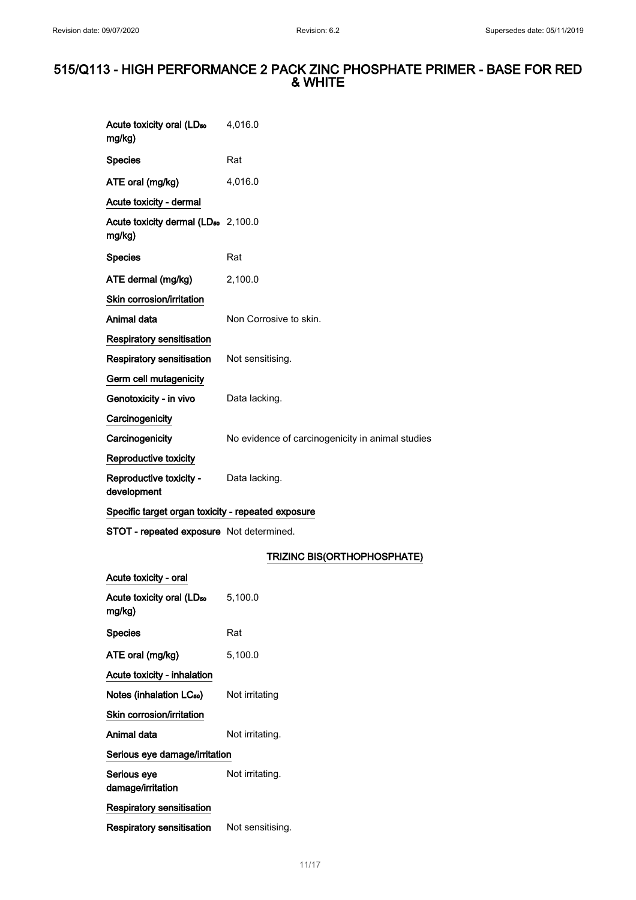| Acute toxicity oral (LD <sub>50</sub><br>mg/kg)           | 4,016.0                                          |
|-----------------------------------------------------------|--------------------------------------------------|
| <b>Species</b>                                            | Rat                                              |
| ATE oral (mg/kg)                                          | 4,016.0                                          |
| Acute toxicity - dermal                                   |                                                  |
| Acute toxicity dermal (LD <sub>50</sub> 2,100.0<br>mg/kg) |                                                  |
| <b>Species</b>                                            | Rat                                              |
| ATE dermal (mg/kg)                                        | 2,100.0                                          |
| Skin corrosion/irritation                                 |                                                  |
| Animal data                                               | Non Corrosive to skin.                           |
| <b>Respiratory sensitisation</b>                          |                                                  |
| Respiratory sensitisation                                 | Not sensitising.                                 |
| Germ cell mutagenicity                                    |                                                  |
| Genotoxicity - in vivo                                    | Data lacking.                                    |
| Carcinogenicity                                           |                                                  |
| Carcinogenicity                                           | No evidence of carcinogenicity in animal studies |
| Reproductive toxicity                                     |                                                  |
| Reproductive toxicity - Data lacking.<br>development      |                                                  |
| Specific target organ toxicity - repeated exposure        |                                                  |
| STOT - repeated exposure Not determined.                  |                                                  |
|                                                           | TRIZINC BIS(ORTHOPHOSPHATE)                      |
| Acute toxicity - oral                                     |                                                  |
| Acute toxicity oral (LD <sub>50</sub> 5,100.0<br>mg/kg)   |                                                  |
| <b>Species</b>                                            | Rat                                              |
| ATE oral (mg/kg)                                          | 5,100.0                                          |
| Acute toxicity - inhalation                               |                                                  |
| Notes (inhalation LC <sub>50</sub> )                      | Not irritating                                   |
| Skin corrosion/irritation                                 |                                                  |
| Animal data                                               | Not irritating.                                  |
| Serious eye damage/irritation                             |                                                  |
| Serious eye<br>damage/irritation                          | Not irritating.                                  |
| <b>Respiratory sensitisation</b>                          |                                                  |
| Respiratory sensitisation                                 | Not sensitising.                                 |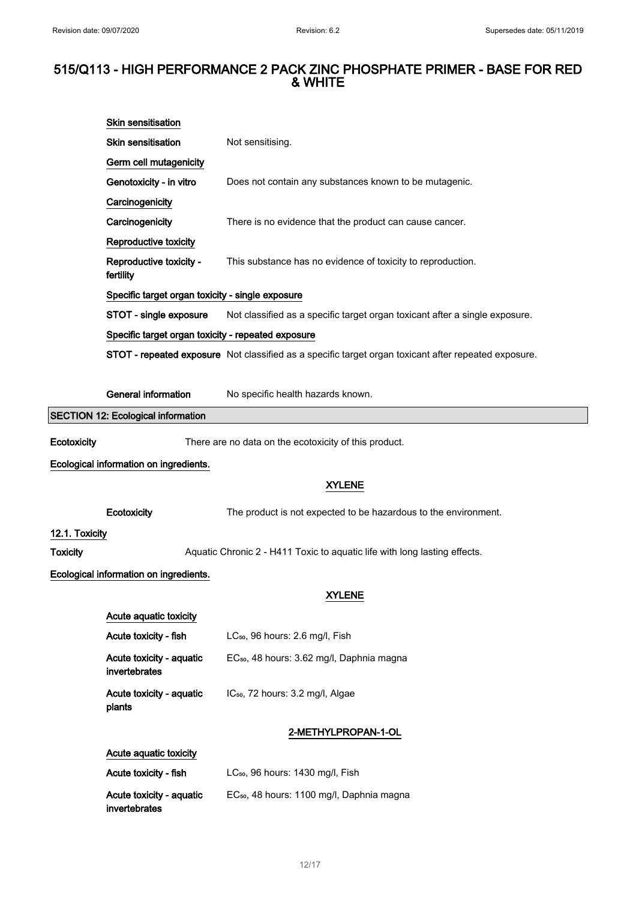|                 | Skin sensitisation                                                                                    |                                                                                                      |  |
|-----------------|-------------------------------------------------------------------------------------------------------|------------------------------------------------------------------------------------------------------|--|
|                 | <b>Skin sensitisation</b>                                                                             | Not sensitising.                                                                                     |  |
|                 | Germ cell mutagenicity                                                                                |                                                                                                      |  |
|                 | Genotoxicity - in vitro                                                                               | Does not contain any substances known to be mutagenic.                                               |  |
|                 | Carcinogenicity                                                                                       |                                                                                                      |  |
|                 | Carcinogenicity                                                                                       | There is no evidence that the product can cause cancer.                                              |  |
|                 | Reproductive toxicity                                                                                 |                                                                                                      |  |
|                 | Reproductive toxicity -<br>fertility                                                                  | This substance has no evidence of toxicity to reproduction.                                          |  |
|                 | Specific target organ toxicity - single exposure                                                      |                                                                                                      |  |
|                 | STOT - single exposure<br>Not classified as a specific target organ toxicant after a single exposure. |                                                                                                      |  |
|                 | Specific target organ toxicity - repeated exposure                                                    |                                                                                                      |  |
|                 |                                                                                                       | STOT - repeated exposure Not classified as a specific target organ toxicant after repeated exposure. |  |
|                 |                                                                                                       |                                                                                                      |  |
|                 | <b>General information</b>                                                                            | No specific health hazards known.                                                                    |  |
|                 | <b>SECTION 12: Ecological information</b>                                                             |                                                                                                      |  |
| Ecotoxicity     |                                                                                                       | There are no data on the ecotoxicity of this product.                                                |  |
|                 | Ecological information on ingredients.                                                                |                                                                                                      |  |
|                 |                                                                                                       | <b>XYLENE</b>                                                                                        |  |
|                 | Ecotoxicity                                                                                           | The product is not expected to be hazardous to the environment.                                      |  |
| 12.1. Toxicity  |                                                                                                       |                                                                                                      |  |
| <b>Toxicity</b> |                                                                                                       | Aquatic Chronic 2 - H411 Toxic to aquatic life with long lasting effects.                            |  |
|                 | Ecological information on ingredients.                                                                |                                                                                                      |  |
|                 |                                                                                                       | <b>XYLENE</b>                                                                                        |  |
|                 | Acute aquatic toxicity                                                                                |                                                                                                      |  |
|                 | Acute toxicity - fish                                                                                 | LC <sub>50</sub> , 96 hours: 2.6 mg/l, Fish                                                          |  |
|                 |                                                                                                       |                                                                                                      |  |
|                 | Acute toxicity - aquatic<br>invertebrates                                                             | EC <sub>50</sub> , 48 hours: 3.62 mg/l, Daphnia magna                                                |  |
|                 |                                                                                                       |                                                                                                      |  |
|                 | Acute toxicity - aquatic<br>plants                                                                    | IC <sub>50</sub> , 72 hours: 3.2 mg/l, Algae                                                         |  |
|                 |                                                                                                       | 2-METHYLPROPAN-1-OL                                                                                  |  |
|                 | Acute aquatic toxicity                                                                                |                                                                                                      |  |
|                 | Acute toxicity - fish                                                                                 | LC <sub>50</sub> , 96 hours: 1430 mg/l, Fish                                                         |  |
|                 | Acute toxicity - aquatic<br>invertebrates                                                             | EC <sub>50</sub> , 48 hours: 1100 mg/l, Daphnia magna                                                |  |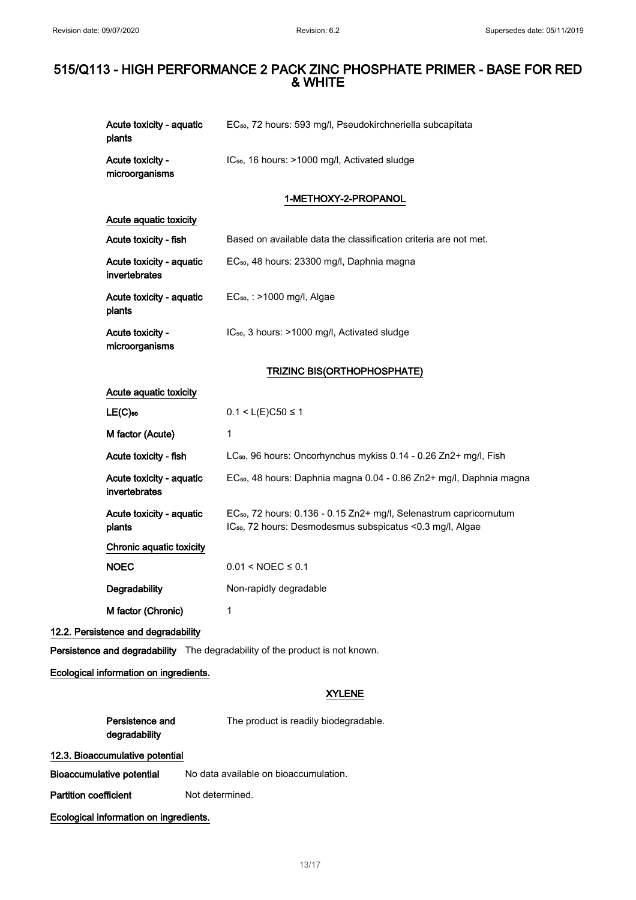| Acute toxicity - aquatic<br>plants        | EC <sub>50</sub> , 72 hours: 593 mg/l, Pseudokirchneriella subcapitata                                                                                   |
|-------------------------------------------|----------------------------------------------------------------------------------------------------------------------------------------------------------|
| Acute toxicity -<br>microorganisms        | IC <sub>50</sub> , 16 hours: >1000 mg/l, Activated sludge                                                                                                |
|                                           | 1-METHOXY-2-PROPANOL                                                                                                                                     |
| Acute aquatic toxicity                    |                                                                                                                                                          |
| Acute toxicity - fish                     | Based on available data the classification criteria are not met.                                                                                         |
| Acute toxicity - aquatic<br>invertebrates | EC <sub>50</sub> , 48 hours: 23300 mg/l, Daphnia magna                                                                                                   |
| Acute toxicity - aquatic<br>plants        | EC <sub>50</sub> , : >1000 mg/l, Algae                                                                                                                   |
| Acute toxicity -<br>microorganisms        | IC <sub>50</sub> , 3 hours: >1000 mg/l, Activated sludge                                                                                                 |
|                                           | TRIZINC BIS(ORTHOPHOSPHATE)                                                                                                                              |
| Acute aquatic toxicity                    |                                                                                                                                                          |
| $LE(C)$ <sub>50</sub>                     | $0.1 < L(E)C50 \le 1$                                                                                                                                    |
| M factor (Acute)                          | 1                                                                                                                                                        |
| Acute toxicity - fish                     | LC <sub>50</sub> , 96 hours: Oncorhynchus mykiss 0.14 - 0.26 Zn2+ mg/l, Fish                                                                             |
| Acute toxicity - aquatic<br>invertebrates | EC <sub>50</sub> , 48 hours: Daphnia magna 0.04 - 0.86 Zn2+ mg/l, Daphnia magna                                                                          |
| Acute toxicity - aquatic<br>plants        | EC <sub>50</sub> , 72 hours: 0.136 - 0.15 Zn2+ mg/l, Selenastrum capricornutum<br>IC <sub>50</sub> , 72 hours: Desmodesmus subspicatus < 0.3 mg/l, Algae |
| Chronic aquatic toxicity                  |                                                                                                                                                          |
| <b>NOEC</b>                               | $0.01 <$ NOEC $\le 0.1$                                                                                                                                  |
| Degradability                             | Non-rapidly degradable                                                                                                                                   |
| M factor (Chronic)                        | 1                                                                                                                                                        |
| 12.2. Persistence and degradability       |                                                                                                                                                          |
|                                           | Persistence and degradability The degradability of the product is not known.                                                                             |
| Ecological information on ingredients.    |                                                                                                                                                          |
|                                           | <b>XYLENE</b>                                                                                                                                            |
| Persistence and<br>degradability          | The product is readily biodegradable.                                                                                                                    |
| 12.3. Bioaccumulative potential           |                                                                                                                                                          |
| <b>Bioaccumulative potential</b>          | No data available on bioaccumulation.                                                                                                                    |
| <b>Partition coefficient</b>              | Not determined.                                                                                                                                          |

Ecological information on ingredients.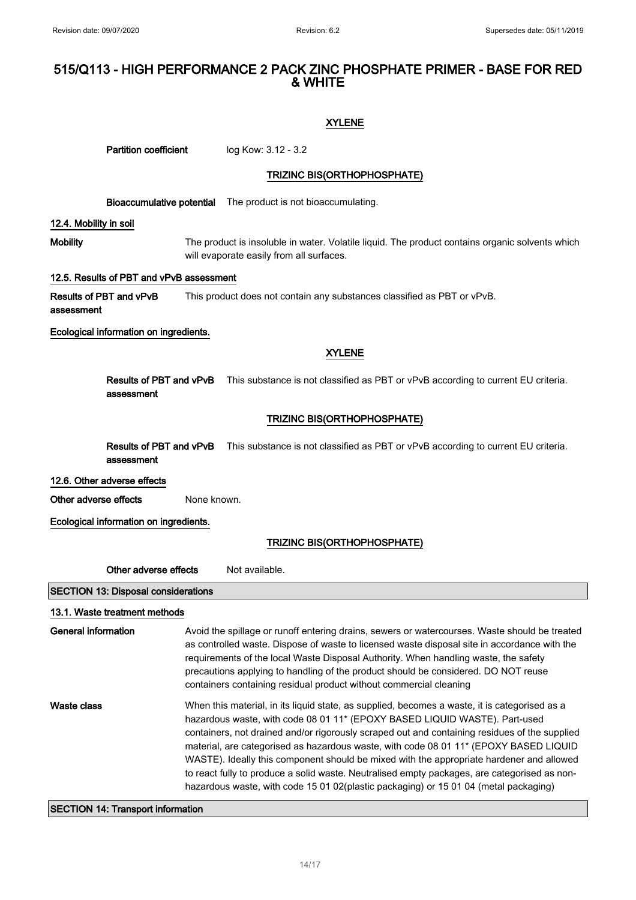#### XYLENE

| <b>Partition coefficient</b>                                                                                                                                   |                                                                                                                                                                                                                                                                                                                                                                                                                                                  | log Kow: 3.12 - 3.2                                                                                                                                                                                                                                                                                                                                                                                                                                                                                                                                                                                                                                       |  |  |
|----------------------------------------------------------------------------------------------------------------------------------------------------------------|--------------------------------------------------------------------------------------------------------------------------------------------------------------------------------------------------------------------------------------------------------------------------------------------------------------------------------------------------------------------------------------------------------------------------------------------------|-----------------------------------------------------------------------------------------------------------------------------------------------------------------------------------------------------------------------------------------------------------------------------------------------------------------------------------------------------------------------------------------------------------------------------------------------------------------------------------------------------------------------------------------------------------------------------------------------------------------------------------------------------------|--|--|
|                                                                                                                                                                | TRIZINC BIS(ORTHOPHOSPHATE)                                                                                                                                                                                                                                                                                                                                                                                                                      |                                                                                                                                                                                                                                                                                                                                                                                                                                                                                                                                                                                                                                                           |  |  |
|                                                                                                                                                                |                                                                                                                                                                                                                                                                                                                                                                                                                                                  | <b>Bioaccumulative potential</b> The product is not bioaccumulating.                                                                                                                                                                                                                                                                                                                                                                                                                                                                                                                                                                                      |  |  |
| 12.4. Mobility in soil                                                                                                                                         |                                                                                                                                                                                                                                                                                                                                                                                                                                                  |                                                                                                                                                                                                                                                                                                                                                                                                                                                                                                                                                                                                                                                           |  |  |
| The product is insoluble in water. Volatile liquid. The product contains organic solvents which<br><b>Mobility</b><br>will evaporate easily from all surfaces. |                                                                                                                                                                                                                                                                                                                                                                                                                                                  |                                                                                                                                                                                                                                                                                                                                                                                                                                                                                                                                                                                                                                                           |  |  |
| 12.5. Results of PBT and vPvB assessment                                                                                                                       |                                                                                                                                                                                                                                                                                                                                                                                                                                                  |                                                                                                                                                                                                                                                                                                                                                                                                                                                                                                                                                                                                                                                           |  |  |
| Results of PBT and vPvB<br>This product does not contain any substances classified as PBT or vPvB.<br>assessment                                               |                                                                                                                                                                                                                                                                                                                                                                                                                                                  |                                                                                                                                                                                                                                                                                                                                                                                                                                                                                                                                                                                                                                                           |  |  |
| Ecological information on ingredients.                                                                                                                         |                                                                                                                                                                                                                                                                                                                                                                                                                                                  |                                                                                                                                                                                                                                                                                                                                                                                                                                                                                                                                                                                                                                                           |  |  |
|                                                                                                                                                                |                                                                                                                                                                                                                                                                                                                                                                                                                                                  | <b>XYLENE</b>                                                                                                                                                                                                                                                                                                                                                                                                                                                                                                                                                                                                                                             |  |  |
| assessment                                                                                                                                                     |                                                                                                                                                                                                                                                                                                                                                                                                                                                  | Results of PBT and vPvB This substance is not classified as PBT or vPvB according to current EU criteria.                                                                                                                                                                                                                                                                                                                                                                                                                                                                                                                                                 |  |  |
|                                                                                                                                                                |                                                                                                                                                                                                                                                                                                                                                                                                                                                  | <b>TRIZINC BIS(ORTHOPHOSPHATE)</b>                                                                                                                                                                                                                                                                                                                                                                                                                                                                                                                                                                                                                        |  |  |
| Results of PBT and vPvB<br>This substance is not classified as PBT or vPvB according to current EU criteria.<br>assessment                                     |                                                                                                                                                                                                                                                                                                                                                                                                                                                  |                                                                                                                                                                                                                                                                                                                                                                                                                                                                                                                                                                                                                                                           |  |  |
| 12.6. Other adverse effects                                                                                                                                    |                                                                                                                                                                                                                                                                                                                                                                                                                                                  |                                                                                                                                                                                                                                                                                                                                                                                                                                                                                                                                                                                                                                                           |  |  |
| Other adverse effects                                                                                                                                          | None known.                                                                                                                                                                                                                                                                                                                                                                                                                                      |                                                                                                                                                                                                                                                                                                                                                                                                                                                                                                                                                                                                                                                           |  |  |
| Ecological information on ingredients.                                                                                                                         |                                                                                                                                                                                                                                                                                                                                                                                                                                                  |                                                                                                                                                                                                                                                                                                                                                                                                                                                                                                                                                                                                                                                           |  |  |
|                                                                                                                                                                |                                                                                                                                                                                                                                                                                                                                                                                                                                                  | TRIZINC BIS(ORTHOPHOSPHATE)                                                                                                                                                                                                                                                                                                                                                                                                                                                                                                                                                                                                                               |  |  |
| Other adverse effects<br>Not available.                                                                                                                        |                                                                                                                                                                                                                                                                                                                                                                                                                                                  |                                                                                                                                                                                                                                                                                                                                                                                                                                                                                                                                                                                                                                                           |  |  |
| <b>SECTION 13: Disposal considerations</b>                                                                                                                     |                                                                                                                                                                                                                                                                                                                                                                                                                                                  |                                                                                                                                                                                                                                                                                                                                                                                                                                                                                                                                                                                                                                                           |  |  |
| 13.1. Waste treatment methods                                                                                                                                  |                                                                                                                                                                                                                                                                                                                                                                                                                                                  |                                                                                                                                                                                                                                                                                                                                                                                                                                                                                                                                                                                                                                                           |  |  |
| <b>General information</b>                                                                                                                                     | Avoid the spillage or runoff entering drains, sewers or watercourses. Waste should be treated<br>as controlled waste. Dispose of waste to licensed waste disposal site in accordance with the<br>requirements of the local Waste Disposal Authority. When handling waste, the safety<br>precautions applying to handling of the product should be considered. DO NOT reuse<br>containers containing residual product without commercial cleaning |                                                                                                                                                                                                                                                                                                                                                                                                                                                                                                                                                                                                                                                           |  |  |
| <b>Waste class</b>                                                                                                                                             |                                                                                                                                                                                                                                                                                                                                                                                                                                                  | When this material, in its liquid state, as supplied, becomes a waste, it is categorised as a<br>hazardous waste, with code 08 01 11* (EPOXY BASED LIQUID WASTE). Part-used<br>containers, not drained and/or rigorously scraped out and containing residues of the supplied<br>material, are categorised as hazardous waste, with code 08 01 11* (EPOXY BASED LIQUID<br>WASTE). Ideally this component should be mixed with the appropriate hardener and allowed<br>to react fully to produce a solid waste. Neutralised empty packages, are categorised as non-<br>hazardous waste, with code 15 01 02(plastic packaging) or 15 01 04 (metal packaging) |  |  |

# SECTION 14: Transport information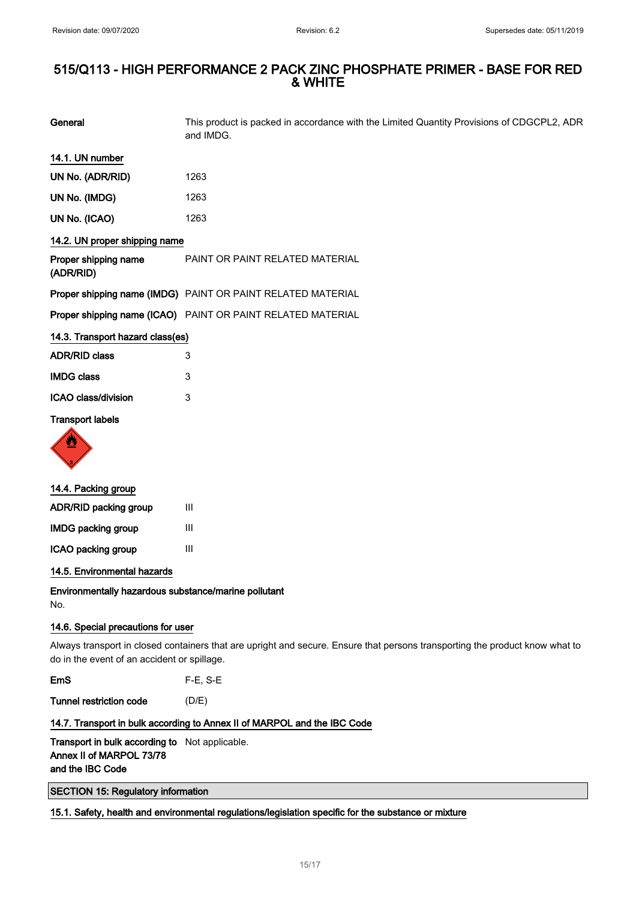General This product is packed in accordance with the Limited Quantity Provisions of CDGCPL2, ADR and IMDG.

| 14.1. UN number |  |
|-----------------|--|
|-----------------|--|

| UN No. (ADR/RID) | 1263 |
|------------------|------|
| UN No. (IMDG)    | 1263 |
| .                |      |

# UN No. (ICAO) 1263

# 14.2. UN proper shipping name

| Proper shipping name<br>(ADR/RID) | PAINT OR PAINT RELATED MATERIAL                                    |
|-----------------------------------|--------------------------------------------------------------------|
|                                   | Proper shipping name (IMDG) PAINT OR PAINT RELATED MATERIAL        |
|                                   | <b>Proper shipping name (ICAO)</b> PAINT OR PAINT RELATED MATERIAL |

#### 14.3. Transport hazard class(es)

| <b>ADR/RID class</b> | 3 |
|----------------------|---|
| <b>IMDG class</b>    | 3 |
| ICAO class/division  | 3 |

#### Transport labels



| 14.4. Packing group          |   |
|------------------------------|---|
| <b>ADR/RID packing group</b> | Ш |
| <b>IMDG packing group</b>    | Ш |
| ICAO packing group           | Ш |
|                              |   |

14.5. Environmental hazards

Environmentally hazardous substance/marine pollutant No.

#### 14.6. Special precautions for user

Always transport in closed containers that are upright and secure. Ensure that persons transporting the product know what to do in the event of an accident or spillage.

EmS F-E, S-E

Tunnel restriction code (D/E)

#### 14.7. Transport in bulk according to Annex II of MARPOL and the IBC Code

Transport in bulk according to Not applicable. Annex II of MARPOL 73/78 and the IBC Code

SECTION 15: Regulatory information

## 15.1. Safety, health and environmental regulations/legislation specific for the substance or mixture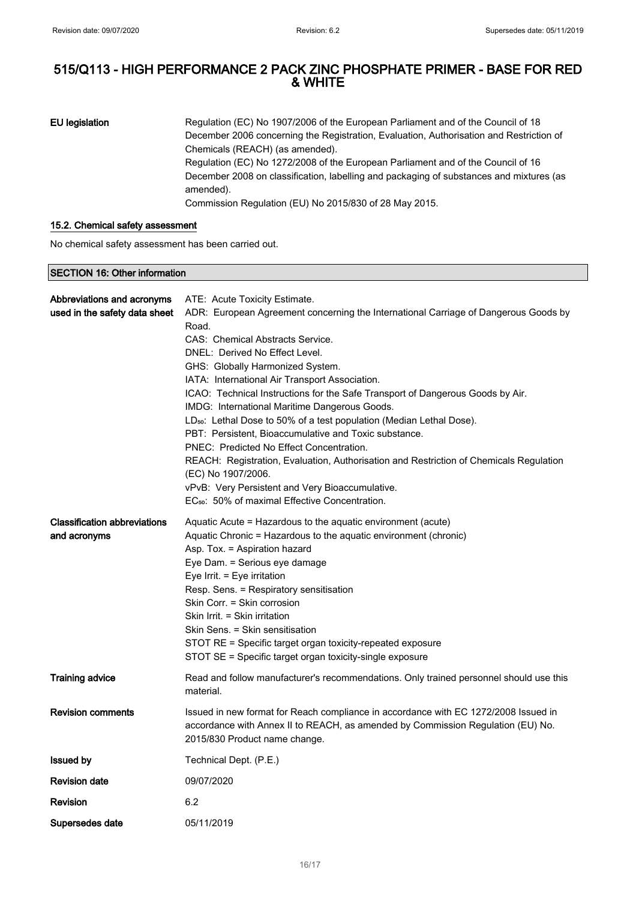EU legislation Regulation (EC) No 1907/2006 of the European Parliament and of the Council of 18 December 2006 concerning the Registration, Evaluation, Authorisation and Restriction of Chemicals (REACH) (as amended). Regulation (EC) No 1272/2008 of the European Parliament and of the Council of 16 December 2008 on classification, labelling and packaging of substances and mixtures (as amended). Commission Regulation (EU) No 2015/830 of 28 May 2015.

#### 15.2. Chemical safety assessment

No chemical safety assessment has been carried out.

#### SECTION 16: Other information

| Abbreviations and acronyms          | ATE: Acute Toxicity Estimate.                                                                                |
|-------------------------------------|--------------------------------------------------------------------------------------------------------------|
| used in the safety data sheet       | ADR: European Agreement concerning the International Carriage of Dangerous Goods by                          |
|                                     | Road.                                                                                                        |
|                                     | CAS: Chemical Abstracts Service.                                                                             |
|                                     | DNEL: Derived No Effect Level.                                                                               |
|                                     | GHS: Globally Harmonized System.                                                                             |
|                                     | IATA: International Air Transport Association.                                                               |
|                                     | ICAO: Technical Instructions for the Safe Transport of Dangerous Goods by Air.                               |
|                                     | IMDG: International Maritime Dangerous Goods.                                                                |
|                                     | LD <sub>50</sub> : Lethal Dose to 50% of a test population (Median Lethal Dose).                             |
|                                     | PBT: Persistent, Bioaccumulative and Toxic substance.                                                        |
|                                     | PNEC: Predicted No Effect Concentration.                                                                     |
|                                     | REACH: Registration, Evaluation, Authorisation and Restriction of Chemicals Regulation<br>(EC) No 1907/2006. |
|                                     | vPvB: Very Persistent and Very Bioaccumulative.                                                              |
|                                     | EC <sub>50</sub> : 50% of maximal Effective Concentration.                                                   |
|                                     |                                                                                                              |
| <b>Classification abbreviations</b> | Aquatic Acute = Hazardous to the aquatic environment (acute)                                                 |
| and acronyms                        | Aquatic Chronic = Hazardous to the aquatic environment (chronic)                                             |
|                                     | Asp. Tox. = Aspiration hazard                                                                                |
|                                     | Eye Dam. = Serious eye damage                                                                                |
|                                     | Eye Irrit. $=$ Eye irritation                                                                                |
|                                     | Resp. Sens. = Respiratory sensitisation<br>Skin Corr. = Skin corrosion                                       |
|                                     | Skin Irrit. = Skin irritation                                                                                |
|                                     | Skin Sens. = Skin sensitisation                                                                              |
|                                     | STOT RE = Specific target organ toxicity-repeated exposure                                                   |
|                                     | STOT SE = Specific target organ toxicity-single exposure                                                     |
|                                     |                                                                                                              |
| <b>Training advice</b>              | Read and follow manufacturer's recommendations. Only trained personnel should use this<br>material.          |
|                                     |                                                                                                              |
| <b>Revision comments</b>            | Issued in new format for Reach compliance in accordance with EC 1272/2008 Issued in                          |
|                                     | accordance with Annex II to REACH, as amended by Commission Regulation (EU) No.                              |
|                                     | 2015/830 Product name change.                                                                                |
| <b>Issued by</b>                    | Technical Dept. (P.E.)                                                                                       |
| <b>Revision date</b>                | 09/07/2020                                                                                                   |
| Revision                            | 6.2                                                                                                          |
| Supersedes date                     | 05/11/2019                                                                                                   |